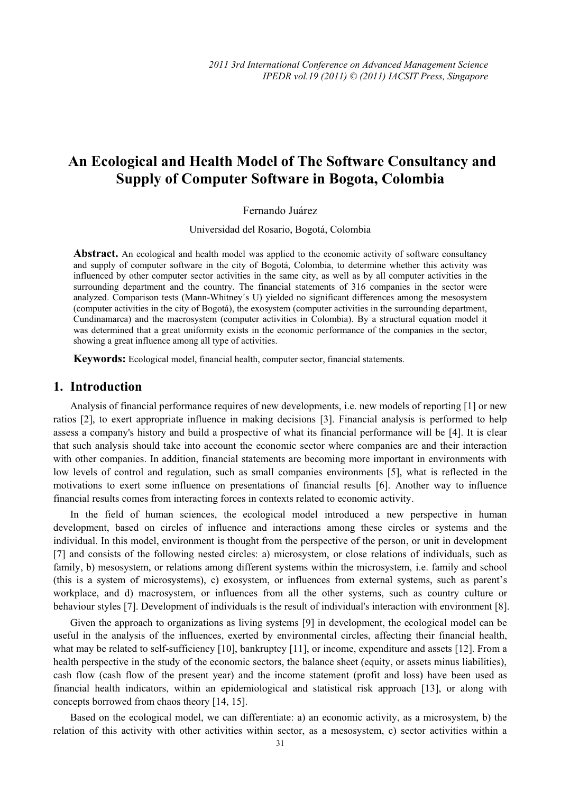# **An Ecological and Health Model of The Software Consultancy and Supply of Computer Software in Bogota, Colombia**

#### Fernando Juárez

Universidad del Rosario, Bogotá, Colombia

**Abstract.** An ecological and health model was applied to the economic activity of software consultancy and supply of computer software in the city of Bogotá, Colombia, to determine whether this activity was influenced by other computer sector activities in the same city, as well as by all computer activities in the surrounding department and the country. The financial statements of 316 companies in the sector were analyzed. Comparison tests (Mann-Whitney´s U) yielded no significant differences among the mesosystem (computer activities in the city of Bogotá), the exosystem (computer activities in the surrounding department, Cundinamarca) and the macrosystem (computer activities in Colombia). By a structural equation model it was determined that a great uniformity exists in the economic performance of the companies in the sector, showing a great influence among all type of activities.

**Keywords:** Ecological model, financial health, computer sector, financial statements.

## **1. Introduction**

Analysis of financial performance requires of new developments, i.e. new models of reporting [1] or new ratios [2], to exert appropriate influence in making decisions [3]. Financial analysis is performed to help assess a company's history and build a prospective of what its financial performance will be [4]. It is clear that such analysis should take into account the economic sector where companies are and their interaction with other companies. In addition, financial statements are becoming more important in environments with low levels of control and regulation, such as small companies environments [5], what is reflected in the motivations to exert some influence on presentations of financial results [6]. Another way to influence financial results comes from interacting forces in contexts related to economic activity.

In the field of human sciences, the ecological model introduced a new perspective in human development, based on circles of influence and interactions among these circles or systems and the individual. In this model, environment is thought from the perspective of the person, or unit in development [7] and consists of the following nested circles: a) microsystem, or close relations of individuals, such as family, b) mesosystem, or relations among different systems within the microsystem, i.e. family and school (this is a system of microsystems), c) exosystem, or influences from external systems, such as parent's workplace, and d) macrosystem, or influences from all the other systems, such as country culture or behaviour styles [7]. Development of individuals is the result of individual's interaction with environment [8].

Given the approach to organizations as living systems [9] in development, the ecological model can be useful in the analysis of the influences, exerted by environmental circles, affecting their financial health, what may be related to self-sufficiency [10], bankruptcy [11], or income, expenditure and assets [12]. From a health perspective in the study of the economic sectors, the balance sheet (equity, or assets minus liabilities), cash flow (cash flow of the present year) and the income statement (profit and loss) have been used as financial health indicators, within an epidemiological and statistical risk approach [13], or along with concepts borrowed from chaos theory [14, 15].

Based on the ecological model, we can differentiate: a) an economic activity, as a microsystem, b) the relation of this activity with other activities within sector, as a mesosystem, c) sector activities within a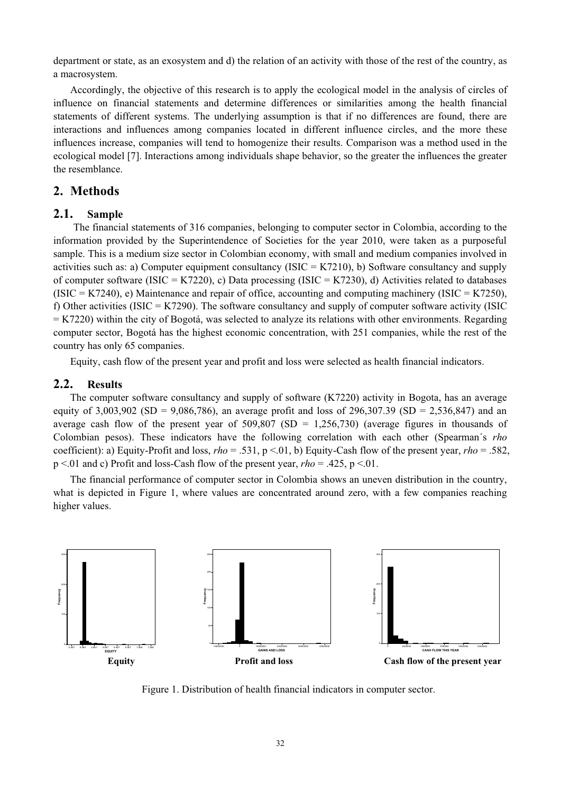department or state, as an exosystem and d) the relation of an activity with those of the rest of the country, as a macrosystem.

Accordingly, the objective of this research is to apply the ecological model in the analysis of circles of influence on financial statements and determine differences or similarities among the health financial statements of different systems. The underlying assumption is that if no differences are found, there are interactions and influences among companies located in different influence circles, and the more these influences increase, companies will tend to homogenize their results. Comparison was a method used in the ecological model [7]. Interactions among individuals shape behavior, so the greater the influences the greater the resemblance.

## **2. Methods**

#### **2.1. Sample**

The financial statements of 316 companies, belonging to computer sector in Colombia, according to the information provided by the Superintendence of Societies for the year 2010, were taken as a purposeful sample. This is a medium size sector in Colombian economy, with small and medium companies involved in activities such as: a) Computer equipment consultancy (ISIC = K7210), b) Software consultancy and supply of computer software (ISIC = K7220), c) Data processing (ISIC = K7230), d) Activities related to databases  $(ISIC = K7240)$ , e) Maintenance and repair of office, accounting and computing machinery  $(ISIC = K7250)$ , f) Other activities (ISIC = K7290). The software consultancy and supply of computer software activity (ISIC  $=$  K7220) within the city of Bogotá, was selected to analyze its relations with other environments. Regarding computer sector, Bogotá has the highest economic concentration, with 251 companies, while the rest of the country has only 65 companies.

Equity, cash flow of the present year and profit and loss were selected as health financial indicators.

#### **2.2. Results**

The computer software consultancy and supply of software (K7220) activity in Bogota, has an average equity of 3,003,902 (SD = 9,086,786), an average profit and loss of 296,307.39 (SD = 2,536,847) and an average cash flow of the present year of  $509,807$  (SD = 1,256,730) (average figures in thousands of Colombian pesos). These indicators have the following correlation with each other (Spearman´s *rho* coefficient): a) Equity-Profit and loss, *rho* = .531, p <.01, b) Equity-Cash flow of the present year, *rho* = .582, p <.01 and c) Profit and loss-Cash flow of the present year, *rho* = .425, p <.01.

The financial performance of computer sector in Colombia shows an uneven distribution in the country, what is depicted in Figure 1, where values are concentrated around zero, with a few companies reaching higher values.



Figure 1. Distribution of health financial indicators in computer sector.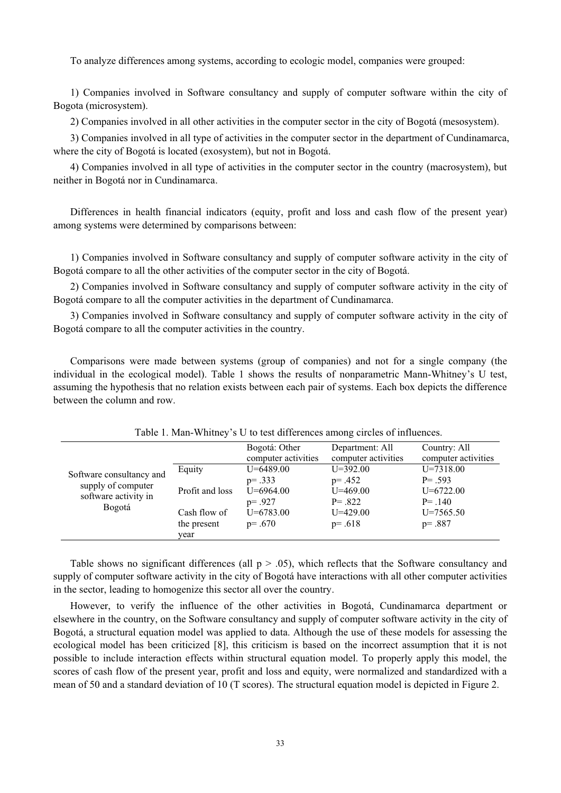To analyze differences among systems, according to ecologic model, companies were grouped:

1) Companies involved in Software consultancy and supply of computer software within the city of Bogota (microsystem).

2) Companies involved in all other activities in the computer sector in the city of Bogotá (mesosystem).

3) Companies involved in all type of activities in the computer sector in the department of Cundinamarca, where the city of Bogotá is located (exosystem), but not in Bogotá.

4) Companies involved in all type of activities in the computer sector in the country (macrosystem), but neither in Bogotá nor in Cundinamarca.

Differences in health financial indicators (equity, profit and loss and cash flow of the present year) among systems were determined by comparisons between:

1) Companies involved in Software consultancy and supply of computer software activity in the city of Bogotá compare to all the other activities of the computer sector in the city of Bogotá.

2) Companies involved in Software consultancy and supply of computer software activity in the city of Bogotá compare to all the computer activities in the department of Cundinamarca.

3) Companies involved in Software consultancy and supply of computer software activity in the city of Bogotá compare to all the computer activities in the country.

Comparisons were made between systems (group of companies) and not for a single company (the individual in the ecological model). Table 1 shows the results of nonparametric Mann-Whitney's U test, assuming the hypothesis that no relation exists between each pair of systems. Each box depicts the difference between the column and row.

| Software consultancy and<br>supply of computer<br>software activity in<br>Bogotá |                 | Bogotá: Other       | Department: All     | Country: All        |
|----------------------------------------------------------------------------------|-----------------|---------------------|---------------------|---------------------|
|                                                                                  |                 | computer activities | computer activities | computer activities |
|                                                                                  | Equity          | $U = 6489.00$       | $U = 392.00$        | $U = 7318.00$       |
|                                                                                  |                 | $p = .333$          | $p = .452$          | $P = .593$          |
|                                                                                  | Profit and loss | $U = 6964.00$       | $U = 469.00$        | $U = 6722.00$       |
|                                                                                  |                 | $p = .927$          | $P = .822$          | $P = .140$          |
|                                                                                  | Cash flow of    | $U = 6783.00$       | $U = 429.00$        | $U = 7565.50$       |
|                                                                                  | the present     | $p = .670$          | $p = .618$          | $p = .887$          |
|                                                                                  | year            |                     |                     |                     |

Table 1. Man-Whitney's U to test differences among circles of influences.

Table shows no significant differences (all  $p > .05$ ), which reflects that the Software consultancy and supply of computer software activity in the city of Bogotá have interactions with all other computer activities in the sector, leading to homogenize this sector all over the country.

However, to verify the influence of the other activities in Bogotá, Cundinamarca department or elsewhere in the country, on the Software consultancy and supply of computer software activity in the city of Bogotá, a structural equation model was applied to data. Although the use of these models for assessing the ecological model has been criticized [8], this criticism is based on the incorrect assumption that it is not possible to include interaction effects within structural equation model. To properly apply this model, the scores of cash flow of the present year, profit and loss and equity, were normalized and standardized with a mean of 50 and a standard deviation of 10 (T scores). The structural equation model is depicted in Figure 2.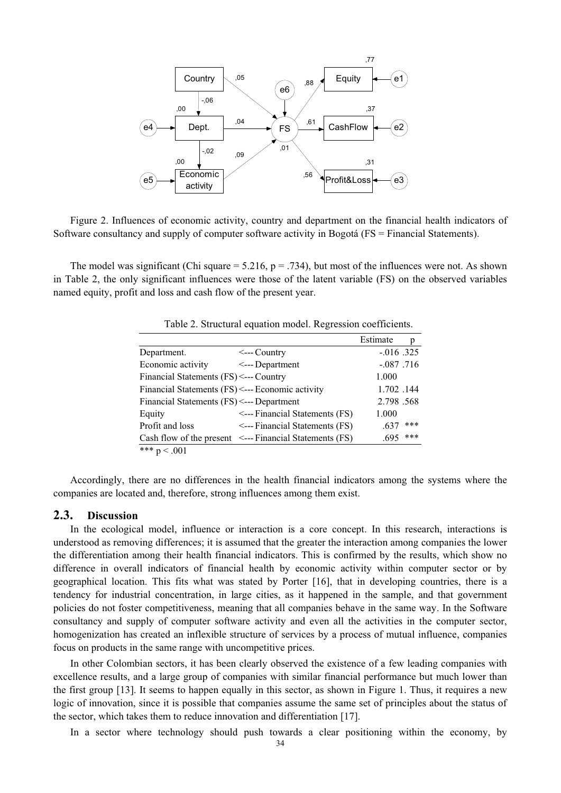

Figure 2. Influences of economic activity, country and department on the financial health indicators of Software consultancy and supply of computer software activity in Bogotá (FS = Financial Statements).

The model was significant (Chi square  $= 5.216$ ,  $p = .734$ ), but most of the influences were not. As shown in Table 2, the only significant influences were those of the latent variable (FS) on the observed variables named equity, profit and loss and cash flow of the present year.

|                                                  |                                                              | Estimate      | р   |
|--------------------------------------------------|--------------------------------------------------------------|---------------|-----|
| Department.                                      | $\leftarrow$ --Country                                       | $-0.016$ .325 |     |
| Economic activity                                | $\leftarrow$ --- Department                                  | $-.087$ .716  |     |
| Financial Statements (FS) <--- Country           |                                                              | 1.000         |     |
| Financial Statements (FS) <--- Economic activity |                                                              | 1.702.144     |     |
| Financial Statements (FS) <--- Department        |                                                              | 2.798.568     |     |
| Equity                                           | <--- Financial Statements (FS)                               | 1.000         |     |
| Profit and loss                                  | <--- Financial Statements (FS)                               | .637          | *** |
|                                                  | Cash flow of the present $\leq$ ---Financial Statements (FS) | .695          | *** |
| *** $p < .001$                                   |                                                              |               |     |

Table 2. Structural equation model. Regression coefficients.

Accordingly, there are no differences in the health financial indicators among the systems where the companies are located and, therefore, strong influences among them exist.

### **2.3. Discussion**

In the ecological model, influence or interaction is a core concept. In this research, interactions is understood as removing differences; it is assumed that the greater the interaction among companies the lower the differentiation among their health financial indicators. This is confirmed by the results, which show no difference in overall indicators of financial health by economic activity within computer sector or by geographical location. This fits what was stated by Porter [16], that in developing countries, there is a tendency for industrial concentration, in large cities, as it happened in the sample, and that government policies do not foster competitiveness, meaning that all companies behave in the same way. In the Software consultancy and supply of computer software activity and even all the activities in the computer sector, homogenization has created an inflexible structure of services by a process of mutual influence, companies focus on products in the same range with uncompetitive prices.

In other Colombian sectors, it has been clearly observed the existence of a few leading companies with excellence results, and a large group of companies with similar financial performance but much lower than the first group [13]. It seems to happen equally in this sector, as shown in Figure 1. Thus, it requires a new logic of innovation, since it is possible that companies assume the same set of principles about the status of the sector, which takes them to reduce innovation and differentiation [17].

In a sector where technology should push towards a clear positioning within the economy, by